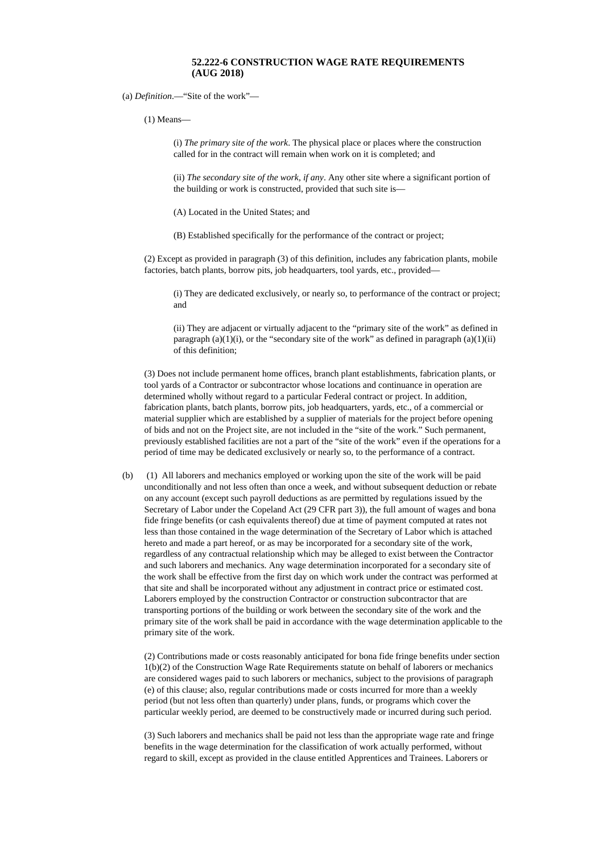## **52.222-6 CONSTRUCTION WAGE RATE REQUIREMENTS (AUG 2018)**

(a) *Definition*.—"Site of the work"—

(1) Means—

(i) *The primary site of the work*. The physical place or places where the construction called for in the contract will remain when work on it is completed; and

(ii) *The secondary site of the work, if any*. Any other site where a significant portion of the building or work is constructed, provided that such site is—

(A) Located in the United States; and

(B) Established specifically for the performance of the contract or project;

(2) Except as provided in paragraph (3) of this definition, includes any fabrication plants, mobile factories, batch plants, borrow pits, job headquarters, tool yards, etc., provided—

(i) They are dedicated exclusively, or nearly so, to performance of the contract or project; and

(ii) They are adjacent or virtually adjacent to the "primary site of the work" as defined in paragraph  $(a)(1)(i)$ , or the "secondary site of the work" as defined in paragraph  $(a)(1)(ii)$ of this definition;

(3) Does not include permanent home offices, branch plant establishments, fabrication plants, or tool yards of a Contractor or subcontractor whose locations and continuance in operation are determined wholly without regard to a particular Federal contract or project. In addition, fabrication plants, batch plants, borrow pits, job headquarters, yards, etc., of a commercial or material supplier which are established by a supplier of materials for the project before opening of bids and not on the Project site, are not included in the "site of the work." Such permanent, previously established facilities are not a part of the "site of the work" even if the operations for a period of time may be dedicated exclusively or nearly so, to the performance of a contract.

(b) (1) All laborers and mechanics employed or working upon the site of the work will be paid unconditionally and not less often than once a week, and without subsequent deduction or rebate on any account (except such payroll deductions as are permitted by regulations issued by the Secretary of Labor under the Copeland Act (29 CFR part 3)), the full amount of wages and bona fide fringe benefits (or cash equivalents thereof) due at time of payment computed at rates not less than those contained in the wage determination of the Secretary of Labor which is attached hereto and made a part hereof, or as may be incorporated for a secondary site of the work, regardless of any contractual relationship which may be alleged to exist between the Contractor and such laborers and mechanics. Any wage determination incorporated for a secondary site of the work shall be effective from the first day on which work under the contract was performed at that site and shall be incorporated without any adjustment in contract price or estimated cost. Laborers employed by the construction Contractor or construction subcontractor that are transporting portions of the building or work between the secondary site of the work and the primary site of the work shall be paid in accordance with the wage determination applicable to the primary site of the work.

(2) Contributions made or costs reasonably anticipated for bona fide fringe benefits under section 1(b)(2) of the Construction Wage Rate Requirements statute on behalf of laborers or mechanics are considered wages paid to such laborers or mechanics, subject to the provisions of paragraph (e) of this clause; also, regular contributions made or costs incurred for more than a weekly period (but not less often than quarterly) under plans, funds, or programs which cover the particular weekly period, are deemed to be constructively made or incurred during such period.

(3) Such laborers and mechanics shall be paid not less than the appropriate wage rate and fringe benefits in the wage determination for the classification of work actually performed, without regard to skill, except as provided in the clause entitled Apprentices and Trainees. Laborers or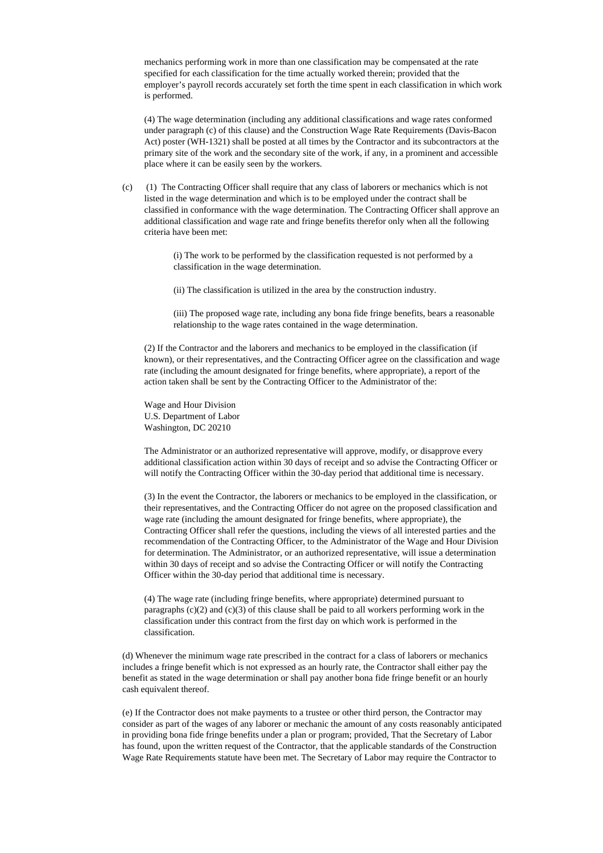mechanics performing work in more than one classification may be compensated at the rate specified for each classification for the time actually worked therein; provided that the employer's payroll records accurately set forth the time spent in each classification in which work is performed.

(4) The wage determination (including any additional classifications and wage rates conformed under paragraph (c) of this clause) and the Construction Wage Rate Requirements (Davis-Bacon Act) poster (WH-1321) shall be posted at all times by the Contractor and its subcontractors at the primary site of the work and the secondary site of the work, if any, in a prominent and accessible place where it can be easily seen by the workers.

(c) (1) The Contracting Officer shall require that any class of laborers or mechanics which is not listed in the wage determination and which is to be employed under the contract shall be classified in conformance with the wage determination. The Contracting Officer shall approve an additional classification and wage rate and fringe benefits therefor only when all the following criteria have been met:

> (i) The work to be performed by the classification requested is not performed by a classification in the wage determination.

(ii) The classification is utilized in the area by the construction industry.

(iii) The proposed wage rate, including any bona fide fringe benefits, bears a reasonable relationship to the wage rates contained in the wage determination.

(2) If the Contractor and the laborers and mechanics to be employed in the classification (if known), or their representatives, and the Contracting Officer agree on the classification and wage rate (including the amount designated for fringe benefits, where appropriate), a report of the action taken shall be sent by the Contracting Officer to the Administrator of the:

Wage and Hour Division U.S. Department of Labor Washington, DC 20210

The Administrator or an authorized representative will approve, modify, or disapprove every additional classification action within 30 days of receipt and so advise the Contracting Officer or will notify the Contracting Officer within the 30-day period that additional time is necessary.

(3) In the event the Contractor, the laborers or mechanics to be employed in the classification, or their representatives, and the Contracting Officer do not agree on the proposed classification and wage rate (including the amount designated for fringe benefits, where appropriate), the Contracting Officer shall refer the questions, including the views of all interested parties and the recommendation of the Contracting Officer, to the Administrator of the Wage and Hour Division for determination. The Administrator, or an authorized representative, will issue a determination within 30 days of receipt and so advise the Contracting Officer or will notify the Contracting Officer within the 30-day period that additional time is necessary.

(4) The wage rate (including fringe benefits, where appropriate) determined pursuant to paragraphs  $(c)(2)$  and  $(c)(3)$  of this clause shall be paid to all workers performing work in the classification under this contract from the first day on which work is performed in the classification.

(d) Whenever the minimum wage rate prescribed in the contract for a class of laborers or mechanics includes a fringe benefit which is not expressed as an hourly rate, the Contractor shall either pay the benefit as stated in the wage determination or shall pay another bona fide fringe benefit or an hourly cash equivalent thereof.

(e) If the Contractor does not make payments to a trustee or other third person, the Contractor may consider as part of the wages of any laborer or mechanic the amount of any costs reasonably anticipated in providing bona fide fringe benefits under a plan or program; provided, That the Secretary of Labor has found, upon the written request of the Contractor, that the applicable standards of the Construction Wage Rate Requirements statute have been met. The Secretary of Labor may require the Contractor to